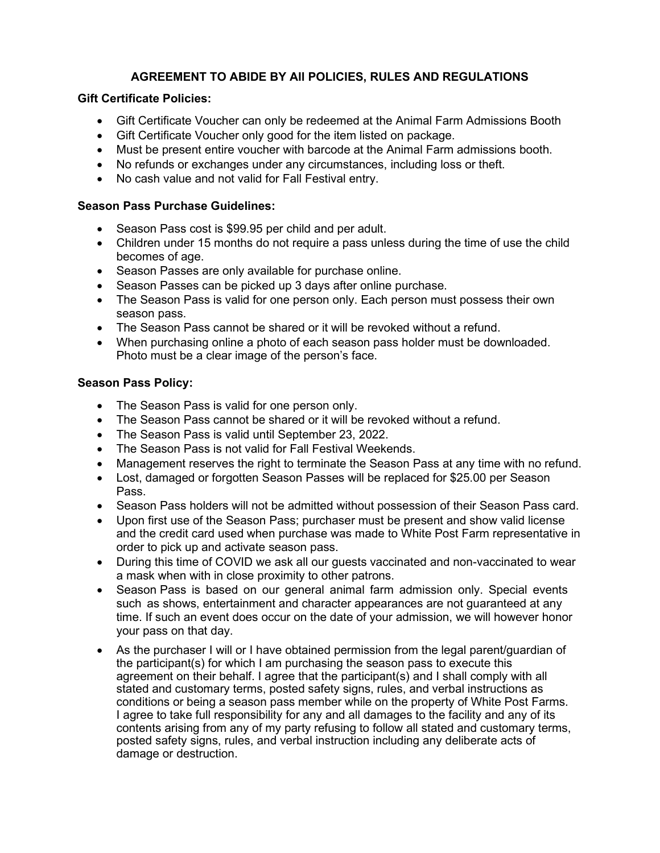# **AGREEMENT TO ABIDE BY All POLICIES, RULES AND REGULATIONS**

# **Gift Certificate Policies:**

- Gift Certificate Voucher can only be redeemed at the Animal Farm Admissions Booth
- Gift Certificate Voucher only good for the item listed on package.
- Must be present entire voucher with barcode at the Animal Farm admissions booth.
- No refunds or exchanges under any circumstances, including loss or theft.
- No cash value and not valid for Fall Festival entry.

# **Season Pass Purchase Guidelines:**

- Season Pass cost is \$99.95 per child and per adult.
- Children under 15 months do not require a pass unless during the time of use the child becomes of age.
- Season Passes are only available for purchase online.
- Season Passes can be picked up 3 days after online purchase.
- The Season Pass is valid for one person only. Each person must possess their own season pass.
- The Season Pass cannot be shared or it will be revoked without a refund.
- When purchasing online a photo of each season pass holder must be downloaded. Photo must be a clear image of the person's face.

#### **Season Pass Policy:**

- The Season Pass is valid for one person only.
- The Season Pass cannot be shared or it will be revoked without a refund.
- The Season Pass is valid until September 23, 2022.
- The Season Pass is not valid for Fall Festival Weekends.
- Management reserves the right to terminate the Season Pass at any time with no refund.
- Lost, damaged or forgotten Season Passes will be replaced for \$25.00 per Season Pass.
- Season Pass holders will not be admitted without possession of their Season Pass card.
- Upon first use of the Season Pass; purchaser must be present and show valid license and the credit card used when purchase was made to White Post Farm representative in order to pick up and activate season pass.
- During this time of COVID we ask all our guests vaccinated and non-vaccinated to wear a mask when with in close proximity to other patrons.
- Season Pass is based on our general animal farm admission only. Special events such as shows, entertainment and character appearances are not guaranteed at any time. If such an event does occur on the date of your admission, we will however honor your pass on that day.
- As the purchaser I will or I have obtained permission from the legal parent/guardian of the participant(s) for which I am purchasing the season pass to execute this agreement on their behalf. I agree that the participant(s) and I shall comply with all stated and customary terms, posted safety signs, rules, and verbal instructions as conditions or being a season pass member while on the property of White Post Farms. I agree to take full responsibility for any and all damages to the facility and any of its contents arising from any of my party refusing to follow all stated and customary terms, posted safety signs, rules, and verbal instruction including any deliberate acts of damage or destruction.